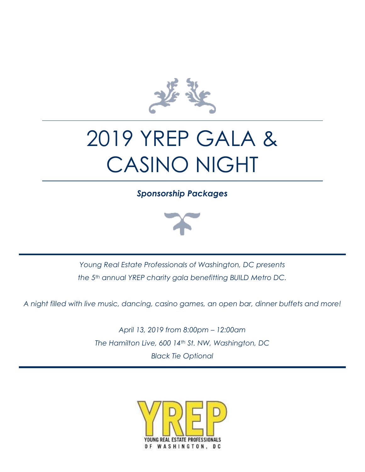

# 2019 YREP GALA & CASINO NIGHT

*Sponsorship Packages*



*Young Real Estate Professionals of Washington, DC presents the 5th annual YREP charity gala benefitting BUILD Metro DC.*

*A night filled with live music, dancing, casino games, an open bar, dinner buffets and more!*

*April 13, 2019 from 8:00pm – 12:00am The Hamilton Live, 600 14th St. NW, Washington, DC Black Tie Optional*

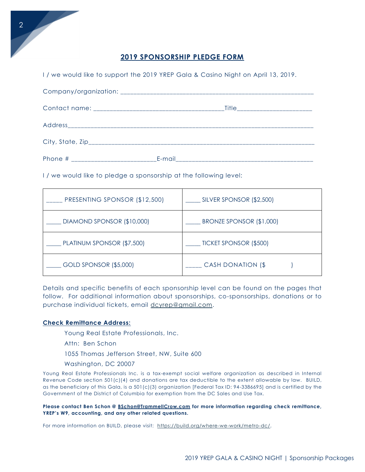### **2019 SPONSORSHIP PLEDGE FORM**

| I/we would like to support the 2019 YREP Gala & Casino Night on April 13, 2019. |  |  |
|---------------------------------------------------------------------------------|--|--|
|                                                                                 |  |  |
|                                                                                 |  |  |
|                                                                                 |  |  |
|                                                                                 |  |  |
|                                                                                 |  |  |

I / we would like to pledge a sponsorship at the following level:

| PRESENTING SPONSOR (\$12,500) | SILVER SPONSOR (\$2,500)      |
|-------------------------------|-------------------------------|
| DIAMOND SPONSOR (\$10,000)    | BRONZE SPONSOR (\$1,000)      |
| PLATINUM SPONSOR (\$7,500)    | <b>TICKET SPONSOR (\$500)</b> |
| GOLD SPONSOR (\$5,000)        | <b>CASH DONATION (\$</b>      |

Details and specific benefits of each sponsorship level can be found on the pages that follow. For additional information about sponsorships, co-sponsorships, donations or to purchase individual tickets, email [dcyrep@gmail.com.](mailto:dcyrep@gmail.com)

#### **Check Remittance Address:**

Young Real Estate Professionals, Inc.

Attn: Ben Schon

1055 Thomas Jefferson Street, NW, Suite 600

Washington, DC 20007

Young Real Estate Professionals Inc. is a tax-exempt social welfare organization as described in Internal Revenue Code section 501(c)(4) and donations are tax deductible to the extent allowable by law. BUILD, as the beneficiary of this Gala, is a 501(c)(3) organization [Federal Tax ID: 94-3386695] and is certified by the Government of the District of Columbia for exemption from the DC Sales and Use Tax.

**Please contact Ben Schon @ [BSchon@TrammellCrow.com](mailto:BSchon@TrammellCrow.com) for more information regarding check remittance, YREP's W9, accounting, and any other related questions.**

For more information on BUILD, please visit: [https://build.org/where-we-work/metro-dc/.](https://build.org/where-we-work/metro-dc/)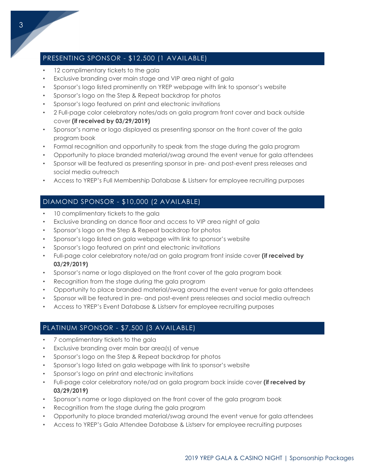## PRESENTING SPONSOR - \$12,500 (1 AVAILABLE)

- 12 complimentary tickets to the gala
- Exclusive branding over main stage and VIP area night of gala
- Sponsor's logo listed prominently on YREP webpage with link to sponsor's website
- Sponsor's logo on the Step & Repeat backdrop for photos
- Sponsor's logo featured on print and electronic invitations
- 2 Full-page color celebratory notes/ads on gala program front cover and back outside cover **(if received by 03/29/2019)**
- Sponsor's name or logo displayed as presenting sponsor on the front cover of the gala program book
- Formal recognition and opportunity to speak from the stage during the gala program
- Opportunity to place branded material/swag around the event venue for gala attendees
- Sponsor will be featured as presenting sponsor in pre- and post-event press releases and social media outreach
- Access to YREP's Full Membership Database & Listserv for employee recruiting purposes

## DIAMOND SPONSOR - \$10,000 (2 AVAILABLE)

- 10 complimentary tickets to the gala
- Exclusive branding on dance floor and access to VIP area night of gala
- Sponsor's logo on the Step & Repeat backdrop for photos
- Sponsor's logo listed on gala webpage with link to sponsor's website
- Sponsor's logo featured on print and electronic invitations
- Full-page color celebratory note/ad on gala program front inside cover **(if received by 03/29/2019)**
- Sponsor's name or logo displayed on the front cover of the gala program book
- Recognition from the stage during the gala program
- Opportunity to place branded material/swag around the event venue for gala attendees
- Sponsor will be featured in pre- and post-event press releases and social media outreach
- Access to YREP's Event Database & Listserv for employee recruiting purposes

## PLATINUM SPONSOR - \$7,500 (3 AVAILABLE)

- 7 complimentary tickets to the gala
- Exclusive branding over main bar area(s) of venue
- Sponsor's logo on the Step & Repeat backdrop for photos
- Sponsor's logo listed on gala webpage with link to sponsor's website
- Sponsor's logo on print and electronic invitations
- Full-page color celebratory note/ad on gala program back inside cover **(if received by 03/29/2019)**
- Sponsor's name or logo displayed on the front cover of the gala program book
- Recognition from the stage during the gala program
- Opportunity to place branded material/swag around the event venue for gala attendees
- Access to YREP's Gala Attendee Database & Listserv for employee recruiting purposes